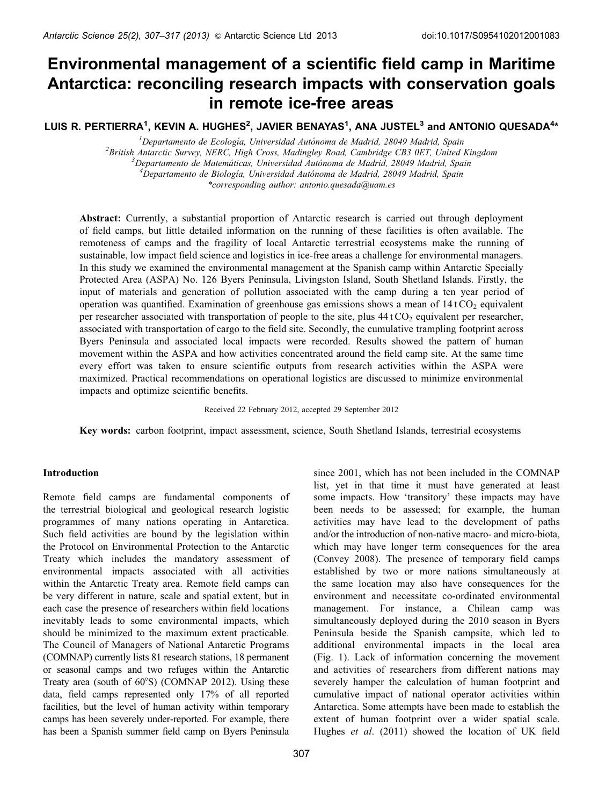# Environmental management of a scientific field camp in Maritime Antarctica: reconciling research impacts with conservation goals in remote ice-free areas

LUIS R. PERTIERRA $^{\mathsf{1}}$ , KEVIN A. HUGHES $^{\mathsf{2}}$ , JAVIER BENAYAS $^{\mathsf{1}}$ , ANA JUSTEL $^{\mathsf{3}}$  and ANTONIO QUESADA $^{\mathsf{4}}$ \*

<sup>1</sup>Departamento de Ecología, Universidad Autónoma de Madrid, 28049 Madrid, Spain *Departamento de Ecologı´a, Universidad Auto´noma de Madrid, 28049 Madrid, Spain <sup>2</sup> British Antarctic Survey, NERC, High Cross, Madingley Road, Cambridge CB3 0ET, United Kingdom <sup>3</sup> Departamento de Matema´ticas, Universidad Auto´noma de Madrid, 28049 Madrid, Spain <sup>4</sup>* <sup>4</sup> Departamento de Biología, Universidad Autónoma de Madrid, 28049 Madrid, Spain *\*corresponding author: antonio.quesada@uam.es*

**Abstract:** Currently, a substantial proportion of Antarctic research is carried out through deployment of field camps, but little detailed information on the running of these facilities is often available. The remoteness of camps and the fragility of local Antarctic terrestrial ecosystems make the running of sustainable, low impact field science and logistics in ice-free areas a challenge for environmental managers. In this study we examined the environmental management at the Spanish camp within Antarctic Specially Protected Area (ASPA) No. 126 Byers Peninsula, Livingston Island, South Shetland Islands. Firstly, the input of materials and generation of pollution associated with the camp during a ten year period of operation was quantified. Examination of greenhouse gas emissions shows a mean of  $14$  tCO<sub>2</sub> equivalent per researcher associated with transportation of people to the site, plus  $44 \text{ t}$  CO<sub>2</sub> equivalent per researcher, associated with transportation of cargo to the field site. Secondly, the cumulative trampling footprint across Byers Peninsula and associated local impacts were recorded. Results showed the pattern of human movement within the ASPA and how activities concentrated around the field camp site. At the same time every effort was taken to ensure scientific outputs from research activities within the ASPA were maximized. Practical recommendations on operational logistics are discussed to minimize environmental impacts and optimize scientific benefits.

Received 22 February 2012, accepted 29 September 2012

**Key words:** carbon footprint, impact assessment, science, South Shetland Islands, terrestrial ecosystems

# **Introduction**

Remote field camps are fundamental components of the terrestrial biological and geological research logistic programmes of many nations operating in Antarctica. Such field activities are bound by the legislation within the Protocol on Environmental Protection to the Antarctic Treaty which includes the mandatory assessment of environmental impacts associated with all activities within the Antarctic Treaty area. Remote field camps can be very different in nature, scale and spatial extent, but in each case the presence of researchers within field locations inevitably leads to some environmental impacts, which should be minimized to the maximum extent practicable. The Council of Managers of National Antarctic Programs (COMNAP) currently lists 81 research stations, 18 permanent or seasonal camps and two refuges within the Antarctic Treaty area (south of  $60^{\circ}$ S) (COMNAP [2012\)](#page-9-0). Using these data, field camps represented only 17% of all reported facilities, but the level of human activity within temporary camps has been severely under-reported. For example, there has been a Spanish summer field camp on Byers Peninsula

since 2001, which has not been included in the COMNAP list, yet in that time it must have generated at least some impacts. How 'transitory' these impacts may have been needs to be assessed; for example, the human activities may have lead to the development of paths and/or the introduction of non-native macro- and micro-biota, which may have longer term consequences for the area (Convey [2008](#page-9-0)). The presence of temporary field camps established by two or more nations simultaneously at the same location may also have consequences for the environment and necessitate co-ordinated environmental management. For instance, a Chilean camp was simultaneously deployed during the 2010 season in Byers Peninsula beside the Spanish campsite, which led to additional environmental impacts in the local area [\(Fig. 1\)](#page-1-0). Lack of information concerning the movement and activities of researchers from different nations may severely hamper the calculation of human footprint and cumulative impact of national operator activities within Antarctica. Some attempts have been made to establish the extent of human footprint over a wider spatial scale. Hughes *et al*. ([2011](#page-9-0)) showed the location of UK field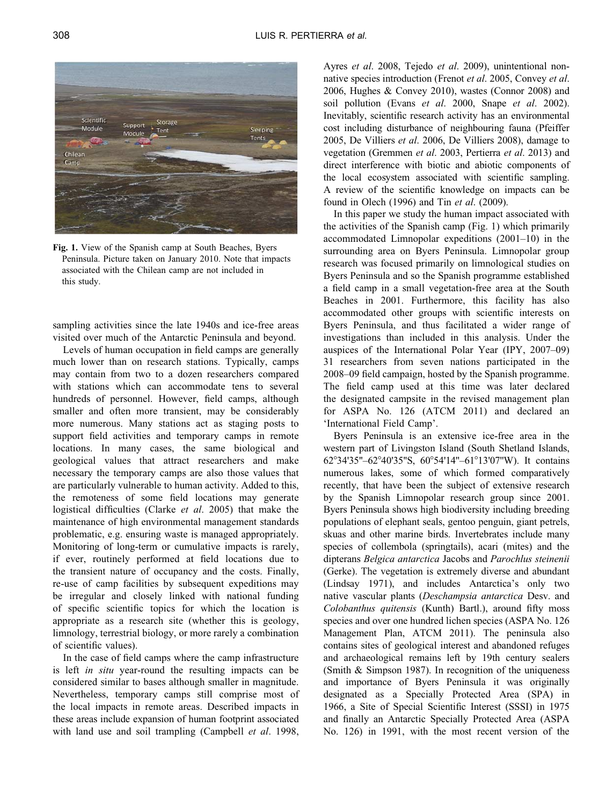<span id="page-1-0"></span>

**Fig. 1.** View of the Spanish camp at South Beaches, Byers Peninsula. Picture taken on January 2010. Note that impacts associated with the Chilean camp are not included in this study.

sampling activities since the late 1940s and ice-free areas visited over much of the Antarctic Peninsula and beyond.

Levels of human occupation in field camps are generally much lower than on research stations. Typically, camps may contain from two to a dozen researchers compared with stations which can accommodate tens to several hundreds of personnel. However, field camps, although smaller and often more transient, may be considerably more numerous. Many stations act as staging posts to support field activities and temporary camps in remote locations. In many cases, the same biological and geological values that attract researchers and make necessary the temporary camps are also those values that are particularly vulnerable to human activity. Added to this, the remoteness of some field locations may generate logistical difficulties (Clarke *et al*. [2005](#page-9-0)) that make the maintenance of high environmental management standards problematic, e.g. ensuring waste is managed appropriately. Monitoring of long-term or cumulative impacts is rarely, if ever, routinely performed at field locations due to the transient nature of occupancy and the costs. Finally, re-use of camp facilities by subsequent expeditions may be irregular and closely linked with national funding of specific scientific topics for which the location is appropriate as a research site (whether this is geology, limnology, terrestrial biology, or more rarely a combination of scientific values).

In the case of field camps where the camp infrastructure is left *in situ* year-round the resulting impacts can be considered similar to bases although smaller in magnitude. Nevertheless, temporary camps still comprise most of the local impacts in remote areas. Described impacts in these areas include expansion of human footprint associated with land use and soil trampling (Campbell *et al*. [1998,](#page-9-0) Ayres *et al*. [2008,](#page-9-0) Tejedo *et al*. [2009\)](#page-10-0), unintentional nonnative species introduction (Frenot *et al*. [2005](#page-9-0), Convey *et al*. [2006,](#page-9-0) Hughes & Convey [2010](#page-9-0)), wastes (Connor [2008](#page-9-0)) and soil pollution (Evans *et al*. 2000, Snape *et al*. [2002\)](#page-10-0). Inevitably, scientific research activity has an environmental cost including disturbance of neighbouring fauna (Pfeiffer [2005,](#page-10-0) De Villiers *et al*. [2006](#page-9-0), De Villiers [2008\)](#page-9-0), damage to vegetation (Gremmen *et al*. [2003](#page-9-0), Pertierra *et al*. [2013\)](#page-10-0) and direct interference with biotic and abiotic components of the local ecosystem associated with scientific sampling. A review of the scientific knowledge on impacts can be found in Olech [\(1996\)](#page-10-0) and Tin *et al*. ([2009](#page-10-0)).

In this paper we study the human impact associated with the activities of the Spanish camp (Fig. 1) which primarily accommodated Limnopolar expeditions (2001–10) in the surrounding area on Byers Peninsula. Limnopolar group research was focused primarily on limnological studies on Byers Peninsula and so the Spanish programme established a field camp in a small vegetation-free area at the South Beaches in 2001. Furthermore, this facility has also accommodated other groups with scientific interests on Byers Peninsula, and thus facilitated a wider range of investigations than included in this analysis. Under the auspices of the International Polar Year (IPY, 2007–09) 31 researchers from seven nations participated in the 2008–09 field campaign, hosted by the Spanish programme. The field camp used at this time was later declared the designated campsite in the revised management plan for ASPA No. 126 (ATCM [2011](#page-9-0)) and declared an 'International Field Camp'.

Byers Peninsula is an extensive ice-free area in the western part of Livingston Island (South Shetland Islands, 62°34'35"–62°40'35"S, 60°54'14"–61°13'07"W). It contains numerous lakes, some of which formed comparatively recently, that have been the subject of extensive research by the Spanish Limnopolar research group since 2001. Byers Peninsula shows high biodiversity including breeding populations of elephant seals, gentoo penguin, giant petrels, skuas and other marine birds. Invertebrates include many species of collembola (springtails), acari (mites) and the dipterans *Belgica antarctica* Jacobs and *Parochlus steinenii* (Gerke). The vegetation is extremely diverse and abundant (Lindsay [1971\)](#page-9-0), and includes Antarctica's only two native vascular plants (*Deschampsia antarctica* Desv. and *Colobanthus quitensis* (Kunth) Bartl.), around fifty moss species and over one hundred lichen species (ASPA No. 126 Management Plan, ATCM [2011](#page-9-0)). The peninsula also contains sites of geological interest and abandoned refuges and archaeological remains left by 19th century sealers (Smith & Simpson [1987](#page-10-0)). In recognition of the uniqueness and importance of Byers Peninsula it was originally designated as a Specially Protected Area (SPA) in 1966, a Site of Special Scientific Interest (SSSI) in 1975 and finally an Antarctic Specially Protected Area (ASPA No. 126) in 1991, with the most recent version of the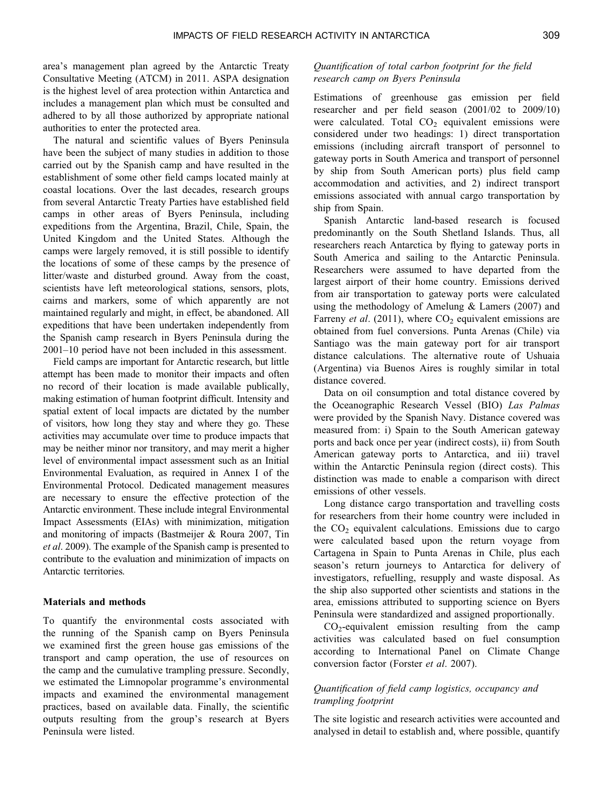area's management plan agreed by the Antarctic Treaty Consultative Meeting (ATCM) in 2011. ASPA designation is the highest level of area protection within Antarctica and includes a management plan which must be consulted and adhered to by all those authorized by appropriate national authorities to enter the protected area.

The natural and scientific values of Byers Peninsula have been the subject of many studies in addition to those carried out by the Spanish camp and have resulted in the establishment of some other field camps located mainly at coastal locations. Over the last decades, research groups from several Antarctic Treaty Parties have established field camps in other areas of Byers Peninsula, including expeditions from the Argentina, Brazil, Chile, Spain, the United Kingdom and the United States. Although the camps were largely removed, it is still possible to identify the locations of some of these camps by the presence of litter/waste and disturbed ground. Away from the coast, scientists have left meteorological stations, sensors, plots, cairns and markers, some of which apparently are not maintained regularly and might, in effect, be abandoned. All expeditions that have been undertaken independently from the Spanish camp research in Byers Peninsula during the 2001–10 period have not been included in this assessment.

Field camps are important for Antarctic research, but little attempt has been made to monitor their impacts and often no record of their location is made available publically, making estimation of human footprint difficult. Intensity and spatial extent of local impacts are dictated by the number of visitors, how long they stay and where they go. These activities may accumulate over time to produce impacts that may be neither minor nor transitory, and may merit a higher level of environmental impact assessment such as an Initial Environmental Evaluation, as required in Annex I of the Environmental Protocol. Dedicated management measures are necessary to ensure the effective protection of the Antarctic environment. These include integral Environmental Impact Assessments (EIAs) with minimization, mitigation and monitoring of impacts (Bastmeijer & Roura [2007](#page-9-0), Tin *et al*. [2009\)](#page-10-0). The example of the Spanish camp is presented to contribute to the evaluation and minimization of impacts on Antarctic territories.

# **Materials and methods**

To quantify the environmental costs associated with the running of the Spanish camp on Byers Peninsula we examined first the green house gas emissions of the transport and camp operation, the use of resources on the camp and the cumulative trampling pressure. Secondly, we estimated the Limnopolar programme's environmental impacts and examined the environmental management practices, based on available data. Finally, the scientific outputs resulting from the group's research at Byers Peninsula were listed.

# *Quantification of total carbon footprint for the field research camp on Byers Peninsula*

Estimations of greenhouse gas emission per field researcher and per field season (2001/02 to 2009/10) were calculated. Total  $CO<sub>2</sub>$  equivalent emissions were considered under two headings: 1) direct transportation emissions (including aircraft transport of personnel to gateway ports in South America and transport of personnel by ship from South American ports) plus field camp accommodation and activities, and 2) indirect transport emissions associated with annual cargo transportation by ship from Spain.

Spanish Antarctic land-based research is focused predominantly on the South Shetland Islands. Thus, all researchers reach Antarctica by flying to gateway ports in South America and sailing to the Antarctic Peninsula. Researchers were assumed to have departed from the largest airport of their home country. Emissions derived from air transportation to gateway ports were calculated using the methodology of Amelung & Lamers ([2007\)](#page-9-0) and Farreny *et al.* ([2011](#page-9-0)), where CO<sub>2</sub> equivalent emissions are obtained from fuel conversions. Punta Arenas (Chile) via Santiago was the main gateway port for air transport distance calculations. The alternative route of Ushuaia (Argentina) via Buenos Aires is roughly similar in total distance covered.

Data on oil consumption and total distance covered by the Oceanographic Research Vessel (BIO) *Las Palmas* were provided by the Spanish Navy. Distance covered was measured from: i) Spain to the South American gateway ports and back once per year (indirect costs), ii) from South American gateway ports to Antarctica, and iii) travel within the Antarctic Peninsula region (direct costs). This distinction was made to enable a comparison with direct emissions of other vessels.

Long distance cargo transportation and travelling costs for researchers from their home country were included in the  $CO<sub>2</sub>$  equivalent calculations. Emissions due to cargo were calculated based upon the return voyage from Cartagena in Spain to Punta Arenas in Chile, plus each season's return journeys to Antarctica for delivery of investigators, refuelling, resupply and waste disposal. As the ship also supported other scientists and stations in the area, emissions attributed to supporting science on Byers Peninsula were standardized and assigned proportionally.

 $CO<sub>2</sub>$ -equivalent emission resulting from the camp activities was calculated based on fuel consumption according to International Panel on Climate Change conversion factor (Forster *et al*. [2007\)](#page-9-0).

# *Quantification of field camp logistics, occupancy and trampling footprint*

The site logistic and research activities were accounted and analysed in detail to establish and, where possible, quantify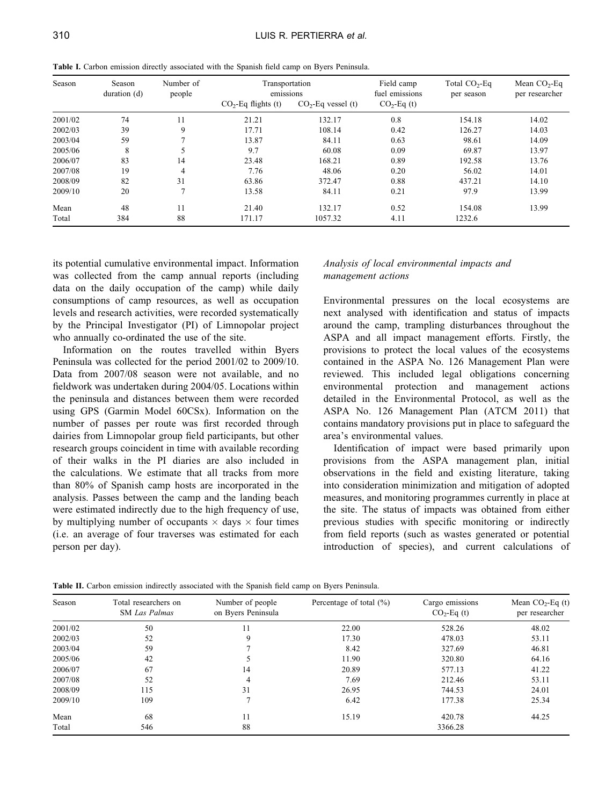| Season  | Season<br>duration (d) | Number of<br>people | Transportation<br>emissions |                      | Field camp<br>fuel emissions | Total $CO2$ -Eq<br>per season | Mean $CO2$ -Eq<br>per researcher |
|---------|------------------------|---------------------|-----------------------------|----------------------|------------------------------|-------------------------------|----------------------------------|
|         |                        |                     | $CO2$ -Eq flights (t)       | $CO2$ -Eq vessel (t) | $CO2-Eq(t)$                  |                               |                                  |
| 2001/02 | 74                     | 11                  | 21.21                       | 132.17               | 0.8                          | 154.18                        | 14.02                            |
| 2002/03 | 39                     | 9                   | 17.71                       | 108.14               | 0.42                         | 126.27                        | 14.03                            |
| 2003/04 | 59                     |                     | 13.87                       | 84.11                | 0.63                         | 98.61                         | 14.09                            |
| 2005/06 | 8                      |                     | 9.7                         | 60.08                | 0.09                         | 69.87                         | 13.97                            |
| 2006/07 | 83                     | 14                  | 23.48                       | 168.21               | 0.89                         | 192.58                        | 13.76                            |
| 2007/08 | 19                     | 4                   | 7.76                        | 48.06                | 0.20                         | 56.02                         | 14.01                            |
| 2008/09 | 82                     | 31                  | 63.86                       | 372.47               | 0.88                         | 437.21                        | 14.10                            |
| 2009/10 | 20                     | ∍                   | 13.58                       | 84.11                | 0.21                         | 97.9                          | 13.99                            |
| Mean    | 48                     | 11                  | 21.40                       | 132.17               | 0.52                         | 154.08                        | 13.99                            |
| Total   | 384                    | 88                  | 171.17                      | 1057.32              | 4.11                         | 1232.6                        |                                  |

<span id="page-3-0"></span>**Table I.** Carbon emission directly associated with the Spanish field camp on Byers Peninsula.

its potential cumulative environmental impact. Information was collected from the camp annual reports (including data on the daily occupation of the camp) while daily consumptions of camp resources, as well as occupation levels and research activities, were recorded systematically by the Principal Investigator (PI) of Limnopolar project who annually co-ordinated the use of the site.

Information on the routes travelled within Byers Peninsula was collected for the period 2001/02 to 2009/10. Data from 2007/08 season were not available, and no fieldwork was undertaken during 2004/05. Locations within the peninsula and distances between them were recorded using GPS (Garmin Model 60CSx). Information on the number of passes per route was first recorded through dairies from Limnopolar group field participants, but other research groups coincident in time with available recording of their walks in the PI diaries are also included in the calculations. We estimate that all tracks from more than 80% of Spanish camp hosts are incorporated in the analysis. Passes between the camp and the landing beach were estimated indirectly due to the high frequency of use, by multiplying number of occupants  $\times$  days  $\times$  four times (i.e. an average of four traverses was estimated for each person per day).

# *Analysis of local environmental impacts and management actions*

Environmental pressures on the local ecosystems are next analysed with identification and status of impacts around the camp, trampling disturbances throughout the ASPA and all impact management efforts. Firstly, the provisions to protect the local values of the ecosystems contained in the ASPA No. 126 Management Plan were reviewed. This included legal obligations concerning environmental protection and management actions detailed in the Environmental Protocol, as well as the ASPA No. 126 Management Plan (ATCM [2011\)](#page-9-0) that contains mandatory provisions put in place to safeguard the area's environmental values.

Identification of impact were based primarily upon provisions from the ASPA management plan, initial observations in the field and existing literature, taking into consideration minimization and mitigation of adopted measures, and monitoring programmes currently in place at the site. The status of impacts was obtained from either previous studies with specific monitoring or indirectly from field reports (such as wastes generated or potential introduction of species), and current calculations of

| Season  | Total researchers on<br><b>SM</b> Las Palmas | Number of people<br>on Byers Peninsula | Percentage of total $(\% )$ | Cargo emissions<br>$CO2-Eq(t)$ | Mean $CO2$ -Eq (t)<br>per researcher |
|---------|----------------------------------------------|----------------------------------------|-----------------------------|--------------------------------|--------------------------------------|
| 2001/02 | 50                                           | 11                                     | 22.00                       | 528.26                         | 48.02                                |
| 2002/03 | 52                                           | 9                                      | 17.30                       | 478.03                         | 53.11                                |
| 2003/04 | 59                                           |                                        | 8.42                        | 327.69                         | 46.81                                |
| 2005/06 | 42                                           |                                        | 11.90                       | 320.80                         | 64.16                                |
| 2006/07 | 67                                           | 14                                     | 20.89                       | 577.13                         | 41.22                                |
| 2007/08 | 52                                           | 4                                      | 7.69                        | 212.46                         | 53.11                                |
| 2008/09 | 115                                          | 31                                     | 26.95                       | 744.53                         | 24.01                                |
| 2009/10 | 109                                          |                                        | 6.42                        | 177.38                         | 25.34                                |
| Mean    | 68                                           | 11                                     | 15.19                       | 420.78                         | 44.25                                |
| Total   | 546                                          | 88                                     |                             | 3366.28                        |                                      |

**Table II.** Carbon emission indirectly associated with the Spanish field camp on Byers Peninsula.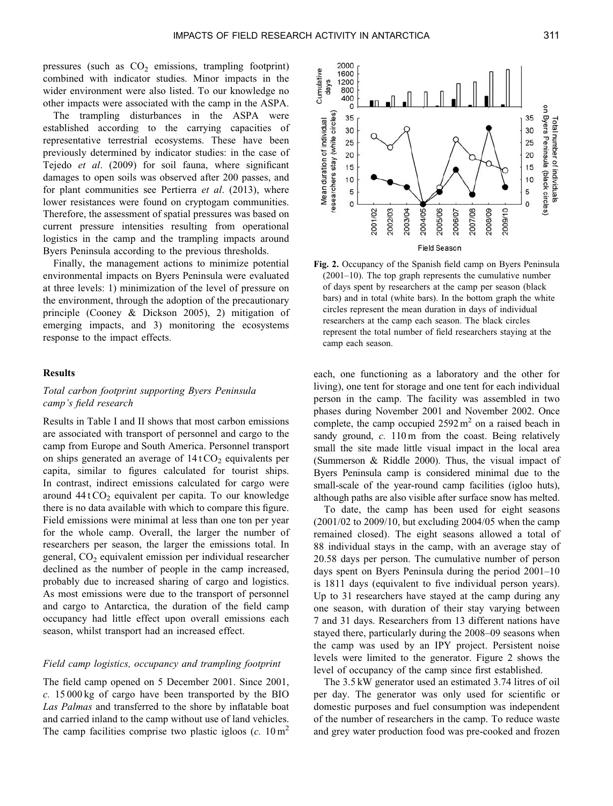pressures (such as  $CO<sub>2</sub>$  emissions, trampling footprint) combined with indicator studies. Minor impacts in the wider environment were also listed. To our knowledge no other impacts were associated with the camp in the ASPA.

The trampling disturbances in the ASPA were established according to the carrying capacities of representative terrestrial ecosystems. These have been previously determined by indicator studies: in the case of Tejedo *et al*. [\(2009](#page-10-0)) for soil fauna, where significant damages to open soils was observed after 200 passes, and for plant communities see Pertierra *et al*. [\(2013](#page-10-0)), where lower resistances were found on cryptogam communities. Therefore, the assessment of spatial pressures was based on current pressure intensities resulting from operational logistics in the camp and the trampling impacts around Byers Peninsula according to the previous thresholds.

Finally, the management actions to minimize potential environmental impacts on Byers Peninsula were evaluated at three levels: 1) minimization of the level of pressure on the environment, through the adoption of the precautionary principle (Cooney & Dickson [2005](#page-9-0)), 2) mitigation of emerging impacts, and 3) monitoring the ecosystems response to the impact effects.

# **Results**

# *Total carbon footprint supporting Byers Peninsula camp's field research*

Results in [Table I](#page-3-0) and [II](#page-3-0) shows that most carbon emissions are associated with transport of personnel and cargo to the camp from Europe and South America. Personnel transport on ships generated an average of  $14$  t CO<sub>2</sub> equivalents per capita, similar to figures calculated for tourist ships. In contrast, indirect emissions calculated for cargo were around  $44$  t CO<sub>2</sub> equivalent per capita. To our knowledge there is no data available with which to compare this figure. Field emissions were minimal at less than one ton per year for the whole camp. Overall, the larger the number of researchers per season, the larger the emissions total. In general,  $CO<sub>2</sub>$  equivalent emission per individual researcher declined as the number of people in the camp increased, probably due to increased sharing of cargo and logistics. As most emissions were due to the transport of personnel and cargo to Antarctica, the duration of the field camp occupancy had little effect upon overall emissions each season, whilst transport had an increased effect.

## *Field camp logistics, occupancy and trampling footprint*

The field camp opened on 5 December 2001. Since 2001, *c.* 15 000 kg of cargo have been transported by the BIO *Las Palmas* and transferred to the shore by inflatable boat and carried inland to the camp without use of land vehicles. The camp facilities comprise two plastic igloos  $(c. 10 \text{ m}^2)$ 



**Fig. 2.** Occupancy of the Spanish field camp on Byers Peninsula (2001–10). The top graph represents the cumulative number of days spent by researchers at the camp per season (black bars) and in total (white bars). In the bottom graph the white circles represent the mean duration in days of individual researchers at the camp each season. The black circles represent the total number of field researchers staying at the camp each season.

each, one functioning as a laboratory and the other for living), one tent for storage and one tent for each individual person in the camp. The facility was assembled in two phases during November 2001 and November 2002. Once complete, the camp occupied  $2592 \text{ m}^2$  on a raised beach in sandy ground, *c.* 110 m from the coast. Being relatively small the site made little visual impact in the local area (Summerson & Riddle [2000\)](#page-10-0). Thus, the visual impact of Byers Peninsula camp is considered minimal due to the small-scale of the year-round camp facilities (igloo huts), although paths are also visible after surface snow has melted.

To date, the camp has been used for eight seasons (2001/02 to 2009/10, but excluding 2004/05 when the camp remained closed). The eight seasons allowed a total of 88 individual stays in the camp, with an average stay of 20.58 days per person. The cumulative number of person days spent on Byers Peninsula during the period 2001–10 is 1811 days (equivalent to five individual person years). Up to 31 researchers have stayed at the camp during any one season, with duration of their stay varying between 7 and 31 days. Researchers from 13 different nations have stayed there, particularly during the 2008–09 seasons when the camp was used by an IPY project. Persistent noise levels were limited to the generator. Figure 2 shows the level of occupancy of the camp since first established.

The 3.5 kW generator used an estimated 3.74 litres of oil per day. The generator was only used for scientific or domestic purposes and fuel consumption was independent of the number of researchers in the camp. To reduce waste and grey water production food was pre-cooked and frozen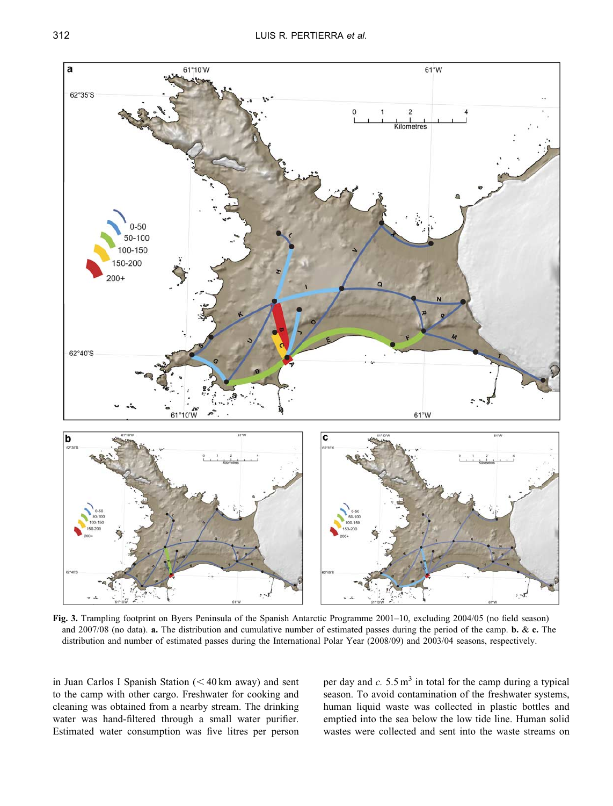<span id="page-5-0"></span>

**Fig. 3.** Trampling footprint on Byers Peninsula of the Spanish Antarctic Programme 2001–10, excluding 2004/05 (no field season) and 2007/08 (no data). **a.** The distribution and cumulative number of estimated passes during the period of the camp. **b.** & **c.** The distribution and number of estimated passes during the International Polar Year (2008/09) and 2003/04 seasons, respectively.

in Juan Carlos I Spanish Station  $(< 40 \text{ km}$  away) and sent to the camp with other cargo. Freshwater for cooking and cleaning was obtained from a nearby stream. The drinking water was hand-filtered through a small water purifier. Estimated water consumption was five litres per person per day and  $c. 5.5 \text{ m}^3$  in total for the camp during a typical season. To avoid contamination of the freshwater systems, human liquid waste was collected in plastic bottles and emptied into the sea below the low tide line. Human solid wastes were collected and sent into the waste streams on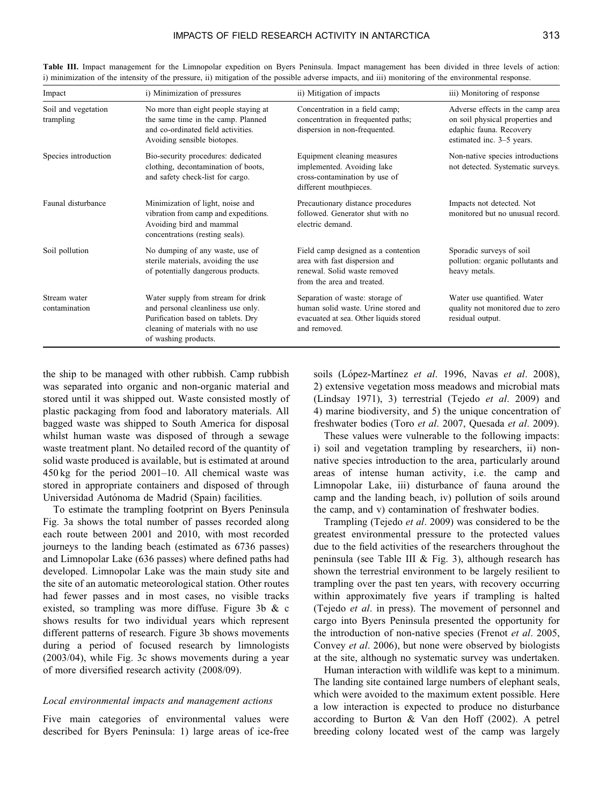| Impact                           | i) Minimization of pressures                                                                                                                                                | ii) Mitigation of impacts                                                                                                          | iii) Monitoring of response                                                                                                 |
|----------------------------------|-----------------------------------------------------------------------------------------------------------------------------------------------------------------------------|------------------------------------------------------------------------------------------------------------------------------------|-----------------------------------------------------------------------------------------------------------------------------|
| Soil and vegetation<br>trampling | No more than eight people staying at<br>the same time in the camp. Planned<br>and co-ordinated field activities.<br>Avoiding sensible biotopes.                             | Concentration in a field camp;<br>concentration in frequented paths;<br>dispersion in non-frequented.                              | Adverse effects in the camp area<br>on soil physical properties and<br>edaphic fauna. Recovery<br>estimated inc. 3-5 years. |
| Species introduction             | Bio-security procedures: dedicated<br>clothing, decontamination of boots,<br>and safety check-list for cargo.                                                               | Equipment cleaning measures<br>implemented. Avoiding lake<br>cross-contamination by use of<br>different mouthpieces.               | Non-native species introductions<br>not detected. Systematic surveys.                                                       |
| Faunal disturbance               | Minimization of light, noise and<br>vibration from camp and expeditions.<br>Avoiding bird and mammal<br>concentrations (resting seals).                                     | Precautionary distance procedures<br>followed. Generator shut with no<br>electric demand.                                          | Impacts not detected. Not<br>monitored but no unusual record.                                                               |
| Soil pollution                   | No dumping of any waste, use of<br>sterile materials, avoiding the use<br>of potentially dangerous products.                                                                | Field camp designed as a contention<br>area with fast dispersion and<br>renewal. Solid waste removed<br>from the area and treated. | Sporadic surveys of soil<br>pollution: organic pollutants and<br>heavy metals.                                              |
| Stream water<br>contamination    | Water supply from stream for drink<br>and personal cleanliness use only.<br>Purification based on tablets. Dry<br>cleaning of materials with no use<br>of washing products. | Separation of waste: storage of<br>human solid waste. Urine stored and<br>evacuated at sea. Other liquids stored<br>and removed.   | Water use quantified. Water<br>quality not monitored due to zero<br>residual output.                                        |

<span id="page-6-0"></span>**Table III.** Impact management for the Limnopolar expedition on Byers Peninsula. Impact management has been divided in three levels of action: i) minimization of the intensity of the pressure, ii) mitigation of the possible adverse impacts, and iii) monitoring of the environmental response.

the ship to be managed with other rubbish. Camp rubbish was separated into organic and non-organic material and stored until it was shipped out. Waste consisted mostly of plastic packaging from food and laboratory materials. All bagged waste was shipped to South America for disposal whilst human waste was disposed of through a sewage waste treatment plant. No detailed record of the quantity of solid waste produced is available, but is estimated at around 450 kg for the period 2001–10. All chemical waste was stored in appropriate containers and disposed of through Universidad Autónoma de Madrid (Spain) facilities.

To estimate the trampling footprint on Byers Peninsula [Fig. 3a](#page-5-0) shows the total number of passes recorded along each route between 2001 and 2010, with most recorded journeys to the landing beach (estimated as 6736 passes) and Limnopolar Lake (636 passes) where defined paths had developed. Limnopolar Lake was the main study site and the site of an automatic meteorological station. Other routes had fewer passes and in most cases, no visible tracks existed, so trampling was more diffuse. [Figure 3b](#page-5-0) & c shows results for two individual years which represent different patterns of research. [Figure 3b](#page-5-0) shows movements during a period of focused research by limnologists (2003/04), while [Fig. 3c](#page-5-0) shows movements during a year of more diversified research activity (2008/09).

#### *Local environmental impacts and management actions*

Five main categories of environmental values were described for Byers Peninsula: 1) large areas of ice-free soils (López-Martínez *et al.* [1996,](#page-10-0) Navas *et al.* [2008](#page-10-0)), 2) extensive vegetation moss meadows and microbial mats (Lindsay [1971\)](#page-9-0), 3) terrestrial (Tejedo *et al*. [2009\)](#page-10-0) and 4) marine biodiversity, and 5) the unique concentration of freshwater bodies (Toro *et al*. [2007](#page-10-0), Quesada *et al*. [2009\)](#page-10-0).

These values were vulnerable to the following impacts: i) soil and vegetation trampling by researchers, ii) nonnative species introduction to the area, particularly around areas of intense human activity, i.e. the camp and Limnopolar Lake, iii) disturbance of fauna around the camp and the landing beach, iv) pollution of soils around the camp, and v) contamination of freshwater bodies.

Trampling (Tejedo *et al*. [2009\)](#page-10-0) was considered to be the greatest environmental pressure to the protected values due to the field activities of the researchers throughout the peninsula (see Table III & [Fig. 3\)](#page-5-0), although research has shown the terrestrial environment to be largely resilient to trampling over the past ten years, with recovery occurring within approximately five years if trampling is halted (Tejedo *et al*[. in press](#page-10-0)). The movement of personnel and cargo into Byers Peninsula presented the opportunity for the introduction of non-native species (Frenot *et al*. [2005](#page-9-0), Convey *et al*. [2006\)](#page-9-0), but none were observed by biologists at the site, although no systematic survey was undertaken.

Human interaction with wildlife was kept to a minimum. The landing site contained large numbers of elephant seals, which were avoided to the maximum extent possible. Here a low interaction is expected to produce no disturbance according to Burton & Van den Hoff ([2002\)](#page-9-0). A petrel breeding colony located west of the camp was largely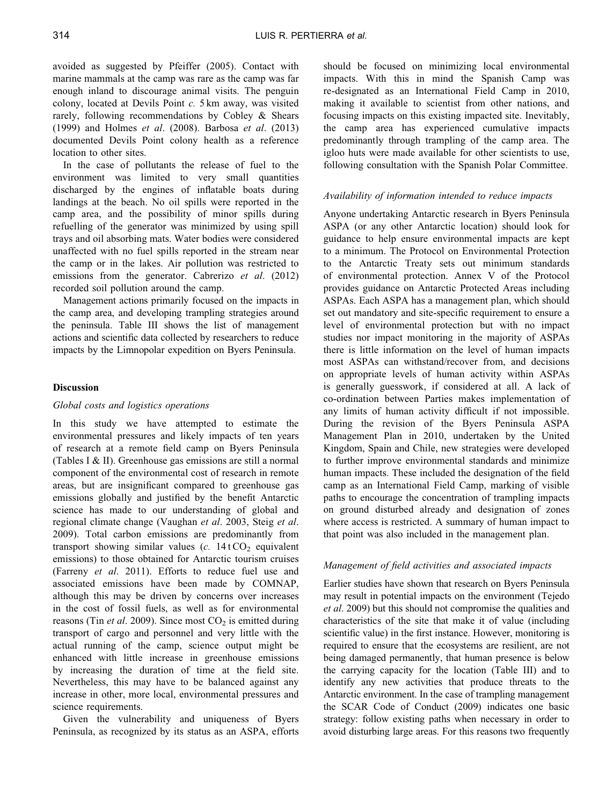avoided as suggested by Pfeiffer ([2005\)](#page-10-0). Contact with marine mammals at the camp was rare as the camp was far enough inland to discourage animal visits. The penguin colony, located at Devils Point *c.* 5 km away, was visited rarely, following recommendations by Cobley & Shears (1999) and Holmes *et al*. [\(2008](#page-9-0)). Barbosa *et al*. [\(2013](#page-9-0)) documented Devils Point colony health as a reference location to other sites.

In the case of pollutants the release of fuel to the environment was limited to very small quantities discharged by the engines of inflatable boats during landings at the beach. No oil spills were reported in the camp area, and the possibility of minor spills during refuelling of the generator was minimized by using spill trays and oil absorbing mats. Water bodies were considered unaffected with no fuel spills reported in the stream near the camp or in the lakes. Air pollution was restricted to emissions from the generator. Cabrerizo *et al*. [\(2012](#page-9-0)) recorded soil pollution around the camp.

Management actions primarily focused on the impacts in the camp area, and developing trampling strategies around the peninsula. [Table III](#page-6-0) shows the list of management actions and scientific data collected by researchers to reduce impacts by the Limnopolar expedition on Byers Peninsula.

# **Discussion**

#### *Global costs and logistics operations*

In this study we have attempted to estimate the environmental pressures and likely impacts of ten years of research at a remote field camp on Byers Peninsula ([Tables I](#page-3-0) & II). Greenhouse gas emissions are still a normal component of the environmental cost of research in remote areas, but are insignificant compared to greenhouse gas emissions globally and justified by the benefit Antarctic science has made to our understanding of global and regional climate change (Vaughan *et al*. [2003,](#page-10-0) Steig *et al*. [2009](#page-10-0)). Total carbon emissions are predominantly from transport showing similar values  $(c. 14 \text{ t} \text{CO}_2)$  equivalent emissions) to those obtained for Antarctic tourism cruises (Farreny *et al*. [2011\)](#page-9-0). Efforts to reduce fuel use and associated emissions have been made by COMNAP, although this may be driven by concerns over increases in the cost of fossil fuels, as well as for environmental reasons (Tin *et al.* [2009\)](#page-10-0). Since most  $CO<sub>2</sub>$  is emitted during transport of cargo and personnel and very little with the actual running of the camp, science output might be enhanced with little increase in greenhouse emissions by increasing the duration of time at the field site. Nevertheless, this may have to be balanced against any increase in other, more local, environmental pressures and science requirements.

Given the vulnerability and uniqueness of Byers Peninsula, as recognized by its status as an ASPA, efforts should be focused on minimizing local environmental impacts. With this in mind the Spanish Camp was re-designated as an International Field Camp in 2010, making it available to scientist from other nations, and focusing impacts on this existing impacted site. Inevitably, the camp area has experienced cumulative impacts predominantly through trampling of the camp area. The igloo huts were made available for other scientists to use, following consultation with the Spanish Polar Committee.

## *Availability of information intended to reduce impacts*

Anyone undertaking Antarctic research in Byers Peninsula ASPA (or any other Antarctic location) should look for guidance to help ensure environmental impacts are kept to a minimum. The Protocol on Environmental Protection to the Antarctic Treaty sets out minimum standards of environmental protection. Annex V of the Protocol provides guidance on Antarctic Protected Areas including ASPAs. Each ASPA has a management plan, which should set out mandatory and site-specific requirement to ensure a level of environmental protection but with no impact studies nor impact monitoring in the majority of ASPAs there is little information on the level of human impacts most ASPAs can withstand/recover from, and decisions on appropriate levels of human activity within ASPAs is generally guesswork, if considered at all. A lack of co-ordination between Parties makes implementation of any limits of human activity difficult if not impossible. During the revision of the Byers Peninsula ASPA Management Plan in 2010, undertaken by the United Kingdom, Spain and Chile, new strategies were developed to further improve environmental standards and minimize human impacts. These included the designation of the field camp as an International Field Camp, marking of visible paths to encourage the concentration of trampling impacts on ground disturbed already and designation of zones where access is restricted. A summary of human impact to that point was also included in the management plan.

## *Management of field activities and associated impacts*

Earlier studies have shown that research on Byers Peninsula may result in potential impacts on the environment (Tejedo *et al*. [2009](#page-10-0)) but this should not compromise the qualities and characteristics of the site that make it of value (including scientific value) in the first instance. However, monitoring is required to ensure that the ecosystems are resilient, are not being damaged permanently, that human presence is below the carrying capacity for the location ([Table III](#page-6-0)) and to identify any new activities that produce threats to the Antarctic environment. In the case of trampling management the SCAR Code of Conduct ([2009](#page-10-0)) indicates one basic strategy: follow existing paths when necessary in order to avoid disturbing large areas. For this reasons two frequently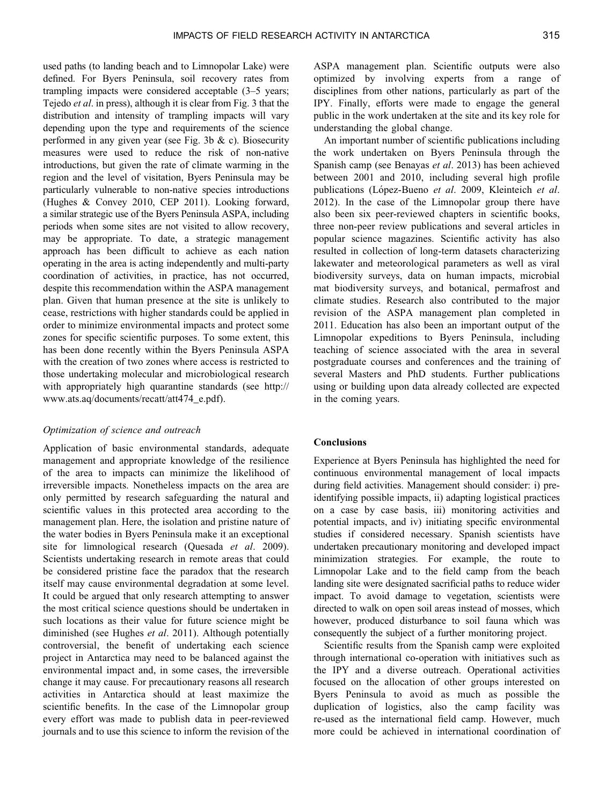used paths (to landing beach and to Limnopolar Lake) were defined. For Byers Peninsula, soil recovery rates from trampling impacts were considered acceptable (3–5 years; Tejedo *et al*[. in press](#page-10-0)), although it is clear from [Fig. 3](#page-5-0) that the distribution and intensity of trampling impacts will vary depending upon the type and requirements of the science performed in any given year (see [Fig. 3b](#page-5-0)  $\&$  c). Biosecurity measures were used to reduce the risk of non-native introductions, but given the rate of climate warming in the region and the level of visitation, Byers Peninsula may be particularly vulnerable to non-native species introductions (Hughes & Convey [2010](#page-9-0), CEP [2011](#page-9-0)). Looking forward, a similar strategic use of the Byers Peninsula ASPA, including periods when some sites are not visited to allow recovery, may be appropriate. To date, a strategic management approach has been difficult to achieve as each nation operating in the area is acting independently and multi-party coordination of activities, in practice, has not occurred, despite this recommendation within the ASPA management plan. Given that human presence at the site is unlikely to cease, restrictions with higher standards could be applied in order to minimize environmental impacts and protect some zones for specific scientific purposes. To some extent, this has been done recently within the Byers Peninsula ASPA with the creation of two zones where access is restricted to those undertaking molecular and microbiological research with appropriately high quarantine standards (see http:// www.ats.aq/documents/recatt/att474\_e.pdf).

# *Optimization of science and outreach*

Application of basic environmental standards, adequate management and appropriate knowledge of the resilience of the area to impacts can minimize the likelihood of irreversible impacts. Nonetheless impacts on the area are only permitted by research safeguarding the natural and scientific values in this protected area according to the management plan. Here, the isolation and pristine nature of the water bodies in Byers Peninsula make it an exceptional site for limnological research (Quesada *et al*. [2009](#page-10-0)). Scientists undertaking research in remote areas that could be considered pristine face the paradox that the research itself may cause environmental degradation at some level. It could be argued that only research attempting to answer the most critical science questions should be undertaken in such locations as their value for future science might be diminished (see Hughes *et al*. [2011\)](#page-9-0). Although potentially controversial, the benefit of undertaking each science project in Antarctica may need to be balanced against the environmental impact and, in some cases, the irreversible change it may cause. For precautionary reasons all research activities in Antarctica should at least maximize the scientific benefits. In the case of the Limnopolar group every effort was made to publish data in peer-reviewed journals and to use this science to inform the revision of the

ASPA management plan. Scientific outputs were also optimized by involving experts from a range of disciplines from other nations, particularly as part of the IPY. Finally, efforts were made to engage the general public in the work undertaken at the site and its key role for understanding the global change.

An important number of scientific publications including the work undertaken on Byers Peninsula through the Spanish camp (see Benayas *et al*. [2013\)](#page-9-0) has been achieved between 2001 and 2010, including several high profile publications (Lo´pez-Bueno *et al*. [2009,](#page-10-0) Kleinteich *et al*. [2012\)](#page-9-0). In the case of the Limnopolar group there have also been six peer-reviewed chapters in scientific books, three non-peer review publications and several articles in popular science magazines. Scientific activity has also resulted in collection of long-term datasets characterizing lakewater and meteorological parameters as well as viral biodiversity surveys, data on human impacts, microbial mat biodiversity surveys, and botanical, permafrost and climate studies. Research also contributed to the major revision of the ASPA management plan completed in 2011. Education has also been an important output of the Limnopolar expeditions to Byers Peninsula, including teaching of science associated with the area in several postgraduate courses and conferences and the training of several Masters and PhD students. Further publications using or building upon data already collected are expected in the coming years.

# **Conclusions**

Experience at Byers Peninsula has highlighted the need for continuous environmental management of local impacts during field activities. Management should consider: i) preidentifying possible impacts, ii) adapting logistical practices on a case by case basis, iii) monitoring activities and potential impacts, and iv) initiating specific environmental studies if considered necessary. Spanish scientists have undertaken precautionary monitoring and developed impact minimization strategies. For example, the route to Limnopolar Lake and to the field camp from the beach landing site were designated sacrificial paths to reduce wider impact. To avoid damage to vegetation, scientists were directed to walk on open soil areas instead of mosses, which however, produced disturbance to soil fauna which was consequently the subject of a further monitoring project.

Scientific results from the Spanish camp were exploited through international co-operation with initiatives such as the IPY and a diverse outreach. Operational activities focused on the allocation of other groups interested on Byers Peninsula to avoid as much as possible the duplication of logistics, also the camp facility was re-used as the international field camp. However, much more could be achieved in international coordination of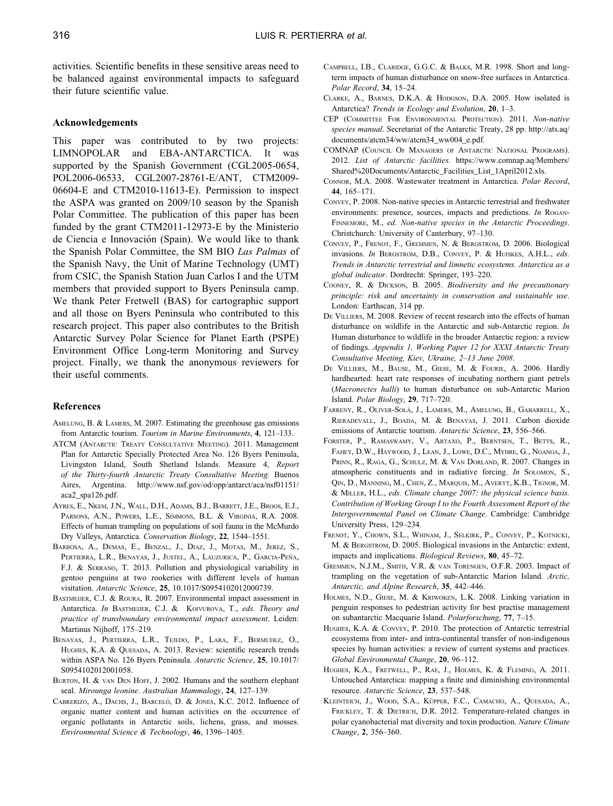<span id="page-9-0"></span>activities. Scientific benefits in these sensitive areas need to be balanced against environmental impacts to safeguard their future scientific value.

#### **Acknowledgements**

This paper was contributed to by two projects: LIMNOPOLAR and EBA-ANTARCTICA. It was supported by the Spanish Government (CGL2005-0654, POL2006-06533, CGL2007-28761-E/ANT, CTM2009- 06604-E and CTM2010-11613-E). Permission to inspect the ASPA was granted on 2009/10 season by the Spanish Polar Committee. The publication of this paper has been funded by the grant CTM2011-12973-E by the Ministerio de Ciencia e Innovación (Spain). We would like to thank the Spanish Polar Committee, the SM BIO *Las Palmas* of the Spanish Navy, the Unit of Marine Technology (UMT) from CSIC, the Spanish Station Juan Carlos I and the UTM members that provided support to Byers Peninsula camp. We thank Peter Fretwell (BAS) for cartographic support and all those on Byers Peninsula who contributed to this research project. This paper also contributes to the British Antarctic Survey Polar Science for Planet Earth (PSPE) Environment Office Long-term Monitoring and Survey project. Finally, we thank the anonymous reviewers for their useful comments.

#### **References**

- AMELUNG, B. & LAMERS, M. 2007. Estimating the greenhouse gas emissions from Antarctic tourism. *Tourism in Marine Environments*, **4**, 121–133.
- ATCM (ANTARCTIC TREATY CONSULTATIVE MEETING). 2011. Management Plan for Antarctic Specially Protected Area No. 126 Byers Peninsula, Livingston Island, South Shetland Islands. Measure 4, *Report of the Thirty-fourth Antarctic Treaty Consultative Meeting.* Buenos Aires, Argentina. http://www.nsf.gov/od/opp/antarct/aca/nsf01151/ aca2\_spa126.pdf.
- AYRES, E., NKEM, J.N., WALL, D.H., ADAMS, B.J., BARRETT, J.E., BROOS, E.J., PARSONS, A.N., POWERS, L.E., SIMMONS, B.L. & VIRGINIA, R.A. 2008. Effects of human trampling on populations of soil fauna in the McMurdo Dry Valleys, Antarctica. *Conservation Biology*, **22**, 1544–1551.
- BARBOSA, A., DEMAS, E., BENZAL, J., DIAZ, J., MOTAS, M., JEREZ, S., PERTIERRA, L.R., BENAYAS, J., JUSTEL, A., LAUZURICA, P., GARCIA-PEÑA, F.J. & SERRANO, T. 2013. Pollution and physiological variability in gentoo penguins at two rookeries with different levels of human visitation. *Antarctic Science*, **25**, 10.1017/S0954102012000739.
- BASTMEIJER, C.J. & ROURA, R. 2007. Environmental impact assessment in Antarctica. *In* BASTMEIJER, C.J. & KOIVUROVA, T., *eds. Theory and practice of transboundary environmental impact assessment*. Leiden: Martinus Nijhoff, 175–219.
- BENAYAS, J., PERTIERRA, L.R., TEJEDO, P., LARA, F., BERMUDEZ, O., HUGHES, K.A. & QUESADA, A. 2013. Review: scientific research trends within ASPA No. 126 Byers Peninsula. *Antarctic Science*, **25**, 10.1017/ S0954102012001058.
- BURTON, H. & VAN DEN HOFF, J. 2002. Humans and the southern elephant seal. *Mirounga leonine. Australian Mammalogy*, **24**, 127–139.
- CABRERIZO, A., DACHS, J., BARCELÓ, D. & JONES, K.C. 2012. Influence of organic matter content and human activities on the occurrence of organic pollutants in Antarctic soils, lichens, grass, and mosses. *Environmental Science & Technology*, **46**, 1396–1405.
- CAMPBELL, I.B., CLARIDGE, G.G.C. & BALKS, M.R. 1998. Short and longterm impacts of human disturbance on snow-free surfaces in Antarctica. *Polar Record*, **34**, 15–24.
- CLARKE, A., BARNES, D.K.A. & HODGSON, D.A. 2005. How isolated is Antarctica? *Trends in Ecology and Evolution*, **20**, 1–3.
- CEP (COMMITTEE FOR ENVIRONMENTAL PROTECTION). 2011. *Non-native species manual*. Secretariat of the Antarctic Treaty, 28 pp. http://ats.aq/ documents/atcm34/ww/atcm34\_ww004\_e.pdf.
- COMNAP (COUNCIL OF MANAGERS OF ANTARCTIC NATIONAL PROGRAMS). 2012. *List of Antarctic facilities*. https://www.comnap.aq/Members/ Shared%20Documents/Antarctic\_Facilities\_List\_1April2012.xls.
- CONNOR, M.A. 2008. Wastewater treatment in Antarctica. *Polar Record*, **44**, 165–171.
- CONVEY, P. 2008. Non-native species in Antarctic terrestrial and freshwater environments: presence, sources, impacts and predictions. *In* ROGAN-FINNEMORE, M., *ed. Non-native species in the Antarctic Proceedings*. Christchurch: University of Canterbury, 97–130.
- CONVEY, P., FRENOT, F., GREMMEN, N. & BERGSTROM, D. 2006. Biological invasions. *In* BERGSTROM, D.B., CONVEY, P. & HUISKES, A.H.L., *eds. Trends in Antarctic terrestrial and limnetic ecosystems. Antarctica as a global indicator*. Dordrecht: Springer, 193–220.
- COONEY, R. & DICKSON, B. 2005. *Biodiversity and the precautionary principle: risk and uncertainty in conservation and sustainable use*. London: Earthscan, 314 pp.
- DE VILLIERS, M. 2008. Review of recent research into the effects of human disturbance on wildlife in the Antarctic and sub-Antarctic region. *In* Human disturbance to wildlife in the broader Antarctic region: a review of findings. *Appendix 1, Working Paper 12 for XXXI Antarctic Treaty Consultative Meeting, Kiev, Ukraine, 2–13 June 2008*.
- DE VILLIERS, M., BAUSE, M., GIESE, M. & FOURIE, A. 2006. Hardly hardhearted: heart rate responses of incubating northern giant petrels (*Macronectes halli*) to human disturbance on sub-Antarctic Marion Island. *Polar Biology*, **29**, 717–720.
- FARRENY, R., OLIVER-SOLÀ, J., LAMERS, M., AMELUNG, B., GABARRELL, X., RIERADEVALL, J., BOADA, M. & BENAYAS, J. 2011. Carbon dioxide emissions of Antarctic tourism. *Antarctic Science*, **23**, 556–566.
- FORSTER, P., RAMASWAMY, V., ARTAXO, P., BERNTSEN, T., BETTS, R., FAHEY, D.W., HAYWOOD, J., LEAN, J., LOWE, D.C., MYHRE, G., NGANGA, J., PRINN, R., RAGA, G., SCHULZ, M. & VAN DORLAND, R. 2007. Changes in atmospheric constituents and in radiative forcing. *In* SOLOMON, S., QIN, D., MANNING, M., CHEN, Z., MARQUIS, M., AVERYT, K.B., TIGNOR, M. & MILLER, H.L., *eds. Climate change 2007: the physical science basis. Contribution of Working Group I to the Fourth Assessment Report of the Intergovernmental Panel on Climate Change*. Cambridge: Cambridge University Press, 129–234.
- FRENOT, Y., CHOWN, S.L., WHINAM, J., SELKIRK, P., CONVEY, P., KOTNICKI, M. & BERGSTROM, D. 2005. Biological invasions in the Antarctic: extent, impacts and implications. *Biological Reviews*, **80**, 45–72.
- GREMMEN, N.J.M., SMITH, V.R. & VAN TORENGEN, O.F.R. 2003. Impact of trampling on the vegetation of sub-Antarctic Marion Island. *Arctic, Antarctic, and Alpine Research*, **35**, 442–446.
- HOLMES, N.D., GIESE, M. & KRIWOKEN, L.K. 2008. Linking variation in penguin responses to pedestrian activity for best practise management on subantarctic Macquarie Island. *Polarforschung*, **77**, 7–15.
- HUGHES, K.A. & CONVEY, P. 2010. The protection of Antarctic terrestrial ecosystems from inter- and intra-continental transfer of non-indigenous species by human activities: a review of current systems and practices. *Global Environmental Change*, **20**, 96–112.
- HUGHES, K.A., FRETWELL, P., RAE, J., HOLMES, K. & FLEMING, A. 2011. Untouched Antarctica: mapping a finite and diminishing environmental resource. *Antarctic Science*, **23**, 537–548.
- KLEINTEICH, J., WOOD, S.A., KÜPPER, F.C., CAMACHO, A., QUESADA, A., FRICKLEY, T. & DIETRICH, D.R. 2012. Temperature-related changes in polar cyanobacterial mat diversity and toxin production. *Nature Climate Change*, **2**, 356–360.